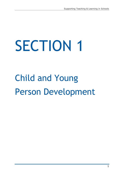# SECTION 1

# Child and Young Person Development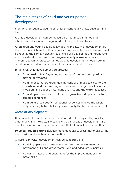# The main stages of child and young person development

From birth through to adulthood children continually grow, develop, and learn.

A child's development can be measured through social, emotional, intellectual, physical and language developmental milestones.

All children and young people follow a similar pattern of development so the order in which each child advances from one milestone to the next will be roughly the same. However, each child will develop at a different rate and their development may not progress evenly across all areas. Therefore teaching practices aimed at child development should seek to simultaneously address each one of the developmental areas.

In general, child development progresses:

- From head to toe. Beginning at the top of the body and gradually moving downwards
- From inner to outer. Firstly gaining control of muscles close to the trunk/head and then moving outwards so the large muscles in the shoulders and upper arms/thighs are first and the extremities last
- From simple to complex; children progress from simple words to complex sentences
- From general to specific; emotional responses involve the whole body in young babies but may involve only the face in an older child

# Areas of development

It is important to understand how children develop physically, socially, emotionally and intellectually to know that all areas of development are equally as important as each other, and that all impact on one another.

**Physical development** includes movement skills, gross motor skills, fine motor skills and eye hand co-ordination.

Children's physical development can be supported by:

- Providing space and some equipment for the development of movement skills and gross motor skills and adequate supervision
- Providing material and equipment for the improvement of fine motor skills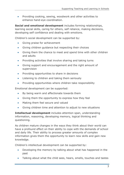Providing cooking, sewing, woodwork and other activities to enhance hand-eye coordination.

**Social and emotional development** includes forming relationships, learning social skills, caring for others, self reliance, making decisions, developing self confidence and dealing with emotions.

Children's social development can be supported by:

- Giving praise for achievement
- Giving children guidance but respecting their choices
- Giving them the chance to meet and spend time with other children and adults
- Providing activities that involve sharing and taking turns
- Giving support and encouragement and the right amount of supervision
- Providing opportunities to share in decisions
- Listening to children and taking them seriously
- Providing opportunities where children take responsibility

Emotional development can be supported:

- By being warm and affectionate towards them
- Giving them the opportunity to express how they feel
- Making them feel secure and valued
- Giving children time and attention to adjust to new situations

**Intellectual development** includes attention span, understanding information, reasoning, developing memory, logical thinking and questioning.

As children mature changes in the ways they think about their world can have a profound effect on their ability to cope with the demands of school and daily life. Their ability to process greater amounts of complex information gives them the opportunity to learn new skills and gain new knowledge.

Children's intellectual development can be supported by:

- Developing the memory by talking about what has happened in the past
- Talking about what the child sees, hears, smells, touches and tastes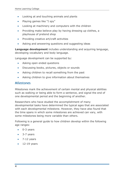- Looking at and touching animals and plants
- Playing games like "I spy"
- Looking at machinery and computers with the children
- Providing make believe play by having dressing up clothes, a playhouse of pretend shop
- Providing creative art/craft activities
- Asking and answering questions and suggesting ideas

**Language development** includes understanding and acquiring language, developing vocabulary and body language.

Language development can be supported by:

- Asking open ended questions
- Discussing books, pictures, objects or sounds
- Asking children to recall something from the past
- Asking children to give information about themselves

# Milestones

Milestones mark the achievement of certain mental and physical abilities such as walking or being able to form a sentence, and signal the end of one developmental period and the beginning of another.

Researchers who have studied the accomplishment of many developmental tasks have determined the typical ages that are associated with each developmental milestone. However, they have also found that the time spans in which some milestones are achieved can vary, with some milestones being more variable than others.

Following is a general guide to how children develop within the following age ranges:

- 0-3 years
- 3-7 years
- $\bullet$  7-12 years
- 12-19 years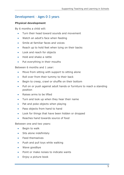# Development – Ages 0-3 years

# **Physical development**

By 6 months a child will:

- Turn their head toward sounds and movement
- Watch an adult's face when feeding
- Smile at familiar faces and voices
- Reach up to hold feet when lying on their backs
- Look and reach for objects
- Hold and shake a rattle
- Put everything in their mouths

Between 6 months and 1 year:

- Move from sitting with support to sitting alone
- Roll over from their tummy to their back
- Begin to creep, crawl or shuffle on their bottom
- Pull on or push against adult hands or furniture to reach a standing position
- Raises arms to be lifted
- Turn and look up when they hear their name
- Pat and poke objects when playing
- Pass objects from hand to hand
- Look for things that have been hidden or dropped
- Reaches hand towards source of food

Between one and two years:

- Begin to walk
- Sits alone indefinitely
- Feed themselves
- Push and pull toys while walking
- Wave goodbye
- Point or make noises to indicate wants
- Enjoy a picture book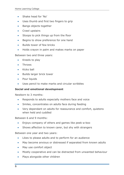- Shake head for 'No'
- Uses thumb and first two fingers to grip
- Bangs objects together
- Crawl upstairs
- Stoops to pick things up from the floor
- Begins to show preference for one hand
- Builds tower of few bricks
- Holds crayon in palm and makes marks on paper

Between two and three years:

- Kneels to play
- Throws
- Kicks ball
- Builds larger brick tower
- Pour liquids
- Uses pencil to make marks and circular scribbles

#### **Social and emotional development**

Newborn to 3 months:

- Responds to adults especially mothers face and voice
- Smiles, concentrates on adults face during feeding
- Very dependant on adults for reassurance and comfort, quietens when held and cuddled

Between 6 and 9 months:

- Enjoys company of others and games like peek-a-boo
- Shows affection to known carer, but shy with strangers

Between one year and two years:

- Likes to please adults and to perform for an audience
- May become anxious or distressed if separated from known adults
- May use comfort object
- Mostly cooperative and can be distracted from unwanted behaviour
- Plays alongside other children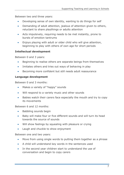Between two and three years:

- Developing sense of own identity, wanting to do things for self
- Demanding of adult attention, jealous of attention given to others, reluctant to share playthings or adults attention
- Acts impulsively, requiring needs to be met instantly, prone to bursts of emotion tantrums
- Enjoys playing with adult or older child who will give attention, beginning to play with others of own age for short periods

# **Intellectual development**

Between 0 and 3 years:

- Beginning to realise others are separate beings from themselves
- Imitates others and tries out ways of behaving in play
- Becoming more confident but still needs adult reassurance

# **Language development**

Between 0 and 3 months:

- Makes a variety of "happy" sounds
- Will respond to a variety music and other sounds
- Babies watch their carers face especially the mouth and try to copy its movements

Between 6 and 12 months:

- Babbling sounds begin
- Baby will make four or five different sounds and will turn its head towards the source of sounds
- Will show feelings by squealing with pleasure or crying
- Laugh and chuckle to show enjoyment

Between one and two years:

- Move from using single words to putting them together as a phrase
- A child will understand key words in the sentences used
- In the second year children start to understand the use of conversation and begin to copy carers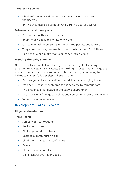- Children's understanding outstrips their ability to express themselves
- By two they could be using anything from 30 to 150 words

Between two and three years:

- Put words together into a sentence
- Begin to ask questions what? Why? etc
- Can join in well know songs or verses and put actions to words
- They could be using several hundred words by their  $3<sup>rd</sup>$  birthday
- Can scribble and make marks on paper with a crayon

# **Meeting the baby's needs**

Newborn babies mainly learn through sound and sight. They pay attention to voices, music, rattles, and tinkling mobiles. Many things are needed in order for an environment to be sufficiently stimulating for babies to successfully develop. These include:

- Encouragement and attention to what the baby is trying to say
- Patience. Giving enough time for baby to try to communicate
- The presence of language in the baby's environment
- The provision of things to look at and someone to look at them with
- Varied visual experiences

# Development - Ages 3-7 years

#### **Physical development**

Three years:

- Jumps with feet together
- Walks on tip toes
- Walks up and down stairs
- Catches a gently thrown ball
- Climbs with increasing confidence
- Paints
- Threads beads on a lace
- Gains control over eating tools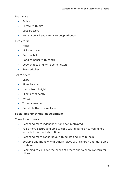Four years:

- Pedals
- Throws with aim
- Uses scissors
- Holds a pencil and can draw people/houses

#### Five years:

- Hops
- Kicks with aim
- Catches ball
- Handles pencil with control
- Copy shapes and write some letters
- Sews stitches

Six to seven:

- Skips
- Rides bicycle
- Jumps from height
- Climbs confidently
- Writes
- Threads needle
- Can do buttons, shoe laces

#### **Social and emotional development**

Three to four years:

- **Becoming more independent and self motivated**
- Feels more secure and able to cope with unfamiliar surroundings and adults for periods of time
- **Becoming more cooperative with adults and likes to help**
- Sociable and friendly with others, plays with children and more able to share
- Beginning to consider the needs of others and to show concern for others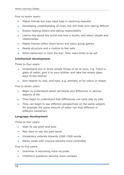Four to seven years:

- Makes friends but may need help in resolving disputes
- Developing understanding of rules, but still finds turn-taking difficult
- Enjoys helping others and taking responsibility
- Learns lots about the world and how it works, and about people and relationships
- Makes friends (often short-term) and plays group games
- Needs structure and a routine to feel safe
- When behaviour is 'over the top', they need limits to be set

# **Intellectual development**

Three to four-years:

- Understand two or three simple things to do at once, e.g. 'Fetch a glass of water, give it to your brother and take the empty glass back to the kitchen'
- Sort objects by size, and type, e.g. animals, or by colour or shape

Five to seven years:

- Begin to understand about sameness and difference in various aspects of life
- They begin to understand that differences can exist side by side
- They can begin to see different perspectives on the same subject, for example the same amount of water can look different in different containers

#### **Language development**

Three to four years:

- Start to use pitch and tone
- May start to use the past tense
- Vocabulary extends towards 1000-1500 words
- Marks made with crayons become more controlled

Four to five years:

- Grammar is becoming more accurate
- Children's questions become more complex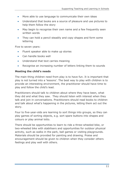- More able to use language to communicate their own ideas
- Understand that books are a source of pleasure and use pictures to help them follow the story
- May begin to recognise their own name and a few frequently seen written words
- They can hold a pencil steadily and copy shapes and form some lettering

Five to seven years:

- Fluent speaker able to make up stories
- Can handle books well
- Understand that text carries meaning
- Recognise an increasing number of letters linking them to sounds

#### **Meeting the child's needs**

The main thing children need from play is to have fun. It is important that play is not turned into a 'lessons'. The best way to play with children is to provide an interesting environment, the practitioner should have time to play and follow the child's lead.

Practitioners should talk to children about where they have been, what they did and what they saw. They should listen with interest when they talk and join in conversations. Practitioners should read books to children and talk about what's happening in the pictures, letting them act out the story.

Four to five-year-olds are learning to sort things into groups, so they can play games of sorting objects, e.g. sort spare buttons into shapes and colours or play animal lotto.

There should be opportunities to learn to ride a three-wheeled bike, or two-wheeled bike with stabilisers and opportunities for outdoor physical activity, such as walks in the park, ball games or visiting playgrounds. Materials should be provided for painting and drawing. Praise and encouragement should be given to children when they consider others feelings and play well with others.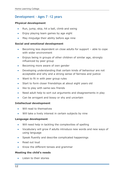# Development - Ages 7 -12 years

#### **Physical development**

- Run, jump, skip, hit a ball, climb and swing
- Enjoy playing team games by age eight
- May misjudge their ability before age nine

#### **Social and emotional development**

- Becoming less dependent on close adults for support able to cope with wider environment
- Enjoys being in groups of other children of similar age, strongly influenced by peer group
- Becoming more aware of own gender
- Developing understanding that certain kinds of behaviour are not acceptable and why and a strong sense of fairness and justice
- Want to fit in with peer group rules
- Start to form closer friendships at about eight years old
- like to play with same-sex friends
- Need adult help to sort out arguments and disagreements in play
- Can be arrogant and bossy or shy and uncertain

#### **Intellectual development**

- Will read to themselves
- Will take a lively interest in certain subjects by nine

#### **Language development**

- Will need help in tackling the complexities of spelling
- Vocabulary will grow if adults introduce new words and new ways of using language
- Speak fluently and describe complicated happenings
- Read out loud
- Know the different tenses and grammar

# **Meeting the child's needs**

Listen to their stories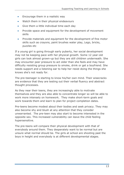- Encourage them in a realistic way
- Watch them in their physical endeavours
- Give them a little individual time each day
- Provide space and equipment for the development of movement skills
- Provide materials and equipment for the development of fine motor skills such as crayons, paint brushes water play, Lego, bricks, puzzles etc

If a young girl is going through early puberty, her social development may not be keeping pace with her physical growth. Some 12 year-old girls can look almost grown-up but they are still children underneath. She may encounter peer pressure to act older than she feels and may have difficulty resisting group pressure to smoke, drink or get a boyfriend. She needs support and a listening ear to help her resist doing the things she knows she's not ready for.

The pre-teenager is starting to know his/her own mind. Their wisecracks are evidence that they are testing out their verbal fluency and abstract thought processes.

As they near their teens, they are increasingly able to motivate themselves and they are also able to concentrate longer so will be able to work more intensely on homework. They make short-term goals and work towards them and learn to plan for project completion dates.

Pre-teens become modest about their bodies and seek privacy. They may also become shy and blush at any attention that they consider unwarranted. The pre-teen may also start to become interested in the opposite sex. This increased vulnerability can leave the child feeling hypersensitive.

The pre-teens will compare their physical development with that of everybody around them. They desperately want to be normal but are unsure what normal should be. The girls at school are shooting past the boys in height and everybody is at different developmental stages.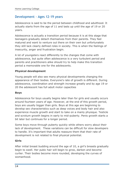# Development - Ages 12-19 years

Adolescence is said to be the period between childhood and adulthood. It actually starts from the age of 11 and lasts up until the age of 19 or 20 years.

Adolescence is actually a transition period because it is at this stage that teenagers gradually detach themselves from their parents. They feel matured and want to venture out there on their own but unfortunately they still lack clearly defined roles in society. This is when the feelings of insecurity, anger and frustration begin.

A lot of youngsters react differently to the changes that come with adolescence, but quite often adolescence is a very turbulent period and parents and practitioners alike should try to help make this transition period a memorable one for the adolescents.

# **Physical development**

Young people will also see many physical developments changing the appearance of their bodies. Everyone's rate of growth is different. During adolescence, coordination and strength increase greatly and by age 19 or 20 the adolescent has full adult motor capacities

#### **Boys**

Adolescence for boys usually begins later than for girls and usually occurs around fourteen years of age. However, at the end of this growth period, boys are usually bigger than girls. Boys at this age are beginning to develop sex characteristics such as deep voices and body hair and also experience muscle growth and start to take on a manly physique. Testicle and scrotum growth begins in early to mid-puberty. Penis growth starts a bit later but continues for a longer period.

Some boys move through puberty quickly while others worry about their lack of development. These variations can be difficult for slow developers to handle. It's important that adults reassure them that their rate of development is not related to final physical potential.

#### **Girls**

After initial breast budding around the age of 10, a girl's breasts gradually begin to swell. Her pubic hair will begin to grow, darken and become curlier. Their bodies become more rounded, developing the curves of womanhood.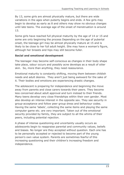By 13, some girls are almost physically mature, but there are wide variations in the ages when puberty begins and ends. A few girls may begin to develop as early as 8 and others may show no obvious changes until late teens. The average age of the onset of menstruation is around 13.

Some girls have reached full physical maturity by the age of 14 or 15 and some are only beginning the process Depending on the age of pubertal onset, the teenage girl may be almost physically mature at 15 and is likely to be close to her full adult height. She may have a woman's figure, although her breasts and hips may still become fuller.

# **Social and emotional development**

The teenager may become self-conscious as changes in their body shape take place, odour occurs and possibly acne develops as a result of oilier skin. So, more than anything, they need reassurance.

Emotional maturity is constantly shifting, moving them between childish needs and adult desires. They aren't just being awkward for the sake of it. Their bodies and emotions are experiencing drastic changes.

The adolescent is preparing for independence and beginning the move away from parents and close carers towards their peers. They become less concerned about adult approval and turn instead to their friends. Many teens develop very close friendships within their own gender. Most also develop an intense interest in the opposite sex. They see security in group-acceptance and follow peer group dress and behaviour codes. Having the same 'labels', collecting the same items and playing the same computer game etc. are very important. Taken out of the emotional security provided by family, they are subject to all the whims of their peers, including potential rejection.

A phase of intense questioning and uncertainty usually occurs as adolescents begin to reappraise parental and community values, beliefs and biases. No longer are they accepted without question. Each one has to be personally accepted or rejected to become part of the young person's own value system. Parents are sometimes fearful of this increasing questioning and their children's increasing freedom and independence.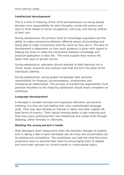# **Intellectual development**

This is a time of maturing of the mind and behaviours as young people develop more responsibility for their thoughts, words and actions and start to think ahead to future occupations, marrying, and having children of their own.

During adolescence, the primary tools for knowledge acquisition are the ability to make connections between different pieces of knowledge and being able to make connections with the world as they see it. The pace of development is dependent on how much guidance is given with regard to helping the brain to make the connections between knowledge and practical application in daily life. The more support they receive the faster their pace of growth will be.

During adolescence, education should attempt to distil learning into a moral, social, economic and cultural code that will form the basis of the individual's identity.

During adolescence, young people increasingly take personal responsibility for finances, accommodation, employment and interpersonal relationships. The process of transferring responsibility from parental shoulders to the maturing adolescent should reach completion at adulthood.

#### **Language development**

A teenager's constant sarcasm and supposed witticisms can become irritating, but they are just testing their new, sophisticated language skills. They may also develop an interest in satire and other slightly offbeat forms of humour. Their logical thinking ability is also maturing and they may enjoy practicing their new intellectual and verbal skills through debating, either formally or informally.

#### **Meeting the young person's needs**

Most teenagers want reassurance when the dramatic changes of puberty kick in. Being a late or early developer can be tricky and schoolmates can be tactless and competitive. The practitioner can help the child find more productive ways to exercise their skills by encouraging them to debate and voice their opinions on current events or controversial topics.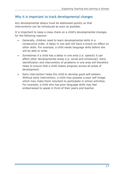# Why it is important to track developmental changes

Any developmental delays must be addressed quickly so that interventions can be introduced as soon as possible.

It is important to keep a close check on a child's developmental changes for the following reasons:

- Generally, children need to learn developmental skills in a consecutive order. A delay in one skill will have a knock-on effect on other skills. For example, a child needs language skills before she will be able to write.
- Sometimes if a child has a delay in one area (i.e. speech) it can affect other developmental areas (i.e. social and emotional). Early identification and intervention of problems in one area will therefore helps to ensure that a child makes progress across all areas of development.
- Early intervention helps the child to develop good self-esteem. Without early intervention, a child may possess a poor self-image which may make them reluctant to participate in school activities. For example, a child who has poor language skills may feel embarrassed to speak in front of their peers and teacher.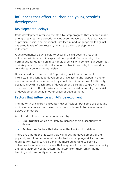# Influences that affect children and young people's development

# Developmental delays

Child development refers to the step-by-step progress that children make during predicted time periods. Practitioners measure a child's acquisition of physical, social and emotional, intellectual and language skills against expected levels of progression, which are called developmental milestones.

A developmental delay is said to occur if a child does not reach a milestone within a certain expected time period. For example, if the normal age range for a child to handle a pencil with control is 5 years, but at 6 six years old the child still cannot control it properly, this would be considered a developmental delay.

Delays could occur in the child's physical, social and emotional, intellectual and language development. Delays might happen in one or more areas of development or they could place in all areas. Additionally, because growth in each area of development is related to growth in the other areas, if a difficulty arises in one area, a child is put at greater risk of developmental delay in other areas of development.

# Factors that influence a child's development

The majority of children encounter few difficulties, but some are brought up in circumstances that make them more vulnerable to developmental delays than others.

A child's development can be influenced by:

- **Risk factors** which are likely to increase their susceptibility to delays
- **Protective factors** that decrease the likelihood of delays

There are a number of factors that will affect the development of the physical, social and emotional, intellectual and language skills that are required for later life. A child may be more vulnerable to poor life outcomes because of risk factors that originate from their own personality and behaviour as well as factors that stem from their family, home, learning and community environments.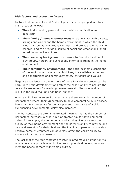# **Risk factors and protective factors**

Factors that can affect a child's development can be grouped into four main areas as follows:

- **The child**  health, personal characteristics, motivation and behaviour
- **Their family / home circumstances** relationships with parents, siblings and carers and the home environment in which the child lives. A strong family groups can teach and provide role models for children, and can provide a source of social and emotional support for adults as well as children
- **Their learning background** exposure to formal education at play groups, nursery and school and informal learning in the home environment
- **Their community environment** the socio-economic conditions of the environment where the child lives, the available resources and opportunities and community safety, structure and values

Negative experiences in one or more of these four circumstances can be harmful to brain development and affect the child's ability to acquire the core skills necessary for reaching developmental milestones and can result in the child requiring additional support.

When a child lives in an environment where there are a high number of risk factors present, their vulnerability to developmental delay increases. Similarly if few protective factors are present, the chance of a child experiencing developmental delay also increases.

The four contexts are often inter-related meaning that as the number of risk factors increases, a child is put at greater risk for developmental delay. For example; the community in which they live can affect the quality of their home environment and the parent's ability to provide and care and attention for their children. The inability of parents to provide a positive home environment can adversely affect the child's ability to engage with school and learning.

The fact that these four contexts are inter-related makes it important to take a holistic approach when looking to support child development and meet the needs of more vulnerable children.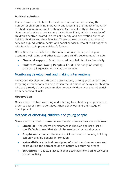# **Political solutions**

Recent Governments have focused much attention on reducing the number of children living in poverty and lessening the impact of poverty on child development and life chances. As a result of their studies, the Government set up a programme called Sure Start, which is a series of children's centres located in areas of poverty and deprivation aimed at helping children and their families. These centres provide a number of services e.g. education, health and social services, who all work together with families to improve children's futures.

Other Government initiatives that aim to reduce the impact of poor economic well being and other factors on a child's development include:

- **Financial support**. Family tax credits to help families financially
- **Children's and Young People's Trust**. This has joint working between all agencies at local authority level

# Monitoring development and making interventions

Monitoring development through observations, making assessments and targeting interventions can help lessen the likelihood of delays for children who are already at risk and can also prevent children who are not at risk from becoming at risk.

#### **Observation**

Observation involves watching and listening to a child or young person in order to gather information about their behaviour and their stage of development.

# Methods of observing children and young people

Some methods used to make developmental observations are as follows:

- **Checklist**  the child's development is checked against a list of specific 'milestones' that should be reached at a certain stage
- **Graphs and charts**  these are quick and easy to collate, but they can only provide general information
- **Naturalistic**  a factual description of what the observer sees and hears during the normal course of naturally occurring events
- **Structured**  a factual account that describes how a child tackles a pre-set activity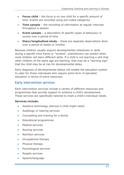- **Focus child**  the focus is on one child for a specific amount of time. Events are recorded using pre-coded categories
- **Time sample**  the recording of information at regular intervals throughout a session
- **Event sample**  a description of specific types of behaviour or events over a period of time
- **Diary/longitudinal study**  these are separate observations done over a period of weeks or months

Because children usually acquire developmental milestones or skills during a specific time frame or "window", practitioners can predict when most children will learn different skills. If a child is not learning a skill that other children of the same age are learning, that may be a "warning sign" that the child may be at risk for developmental delay.

Early diagnosis of developmental delays will enable the education system to cater for those individuals who require some form of specialist education in terms of extra resources.

# Early intervention services

Early intervention services include a variety of different resources and programmes that provide support to enhance a child's development. These services are specifically tailored to meet a child's individual needs.

# **Services include:**

- Assistive technology (devices a child might need)
- Audiology or hearing services
- Counselling and training for a family
- **•** Educational programmes
- Medical services
- Nursing services
- Nutrition services
- Occupational therapy
- Physical therapy
- Psychological services
- Respite services
- Speech/language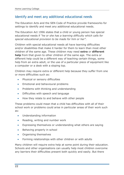# Identify and meet any additional educational needs

The Education Acts and the SEN Code of Practice provide frameworks for settings to identify and meet any additional educational needs.

The Education Act 1996 states that a child or young person has special educational needs if *"he or she has a learning difficulty which calls for special educational provision to be made for him or her".* 

Children with special educational needs all have learning difficulties and/or disabilities that make it harder for them to learn than most other children of the same age. These children may need **extra** or **different help** from that given to other children of the same age. The extra or different help could be a different way of teaching certain things, some help from an extra adult, or the use of a particular piece of equipment like a computer or a desk with a sloping top.

Children may require extra or different help because they suffer from one or more difficulties such as:

- Physical or sensory difficulties
- **Emotional and behavioural problems**
- Problems with thinking and understanding
- Difficulties with speech and language
- How they relate to and behave with other people

These problems could mean that a child has difficulties with all of their school work or problems could arise in particular areas of their work such as:

- Understanding information
- Reading, writing and number work
- Expressing themselves or understanding what others are saying
- Behaving properly in school
- Organising themselves
- Forming relationships with other children or with adults

Many children will require extra help at some point during their education. Schools and other organisations can usually help most children overcome any barriers their difficulties present both quickly and easily. But there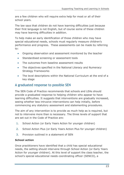are a few children who will require extra help for most or all of their school years.

The law says that children do not have learning difficulties just because their first language is not English, but of course some of these children may have learning difficulties in addition.

To help make an early identification of those children who may have special educational needs, schools must regularly measure children's performance and progress. These assessments can be made by referring to:

- Ongoing observation and assessment monitored by the teacher
- Standardised screening or assessment tools
- The outcomes from baseline assessment results
- The objectives specified in the National Literacy and Numeracy Strategy Frameworks
- The level descriptions within the National Curriculum at the end of a key stage

# A graduated response to possible SEN

The SEN Code of Practice recommends that schools and LEAs should provide a graduated response to helping children who appear to have learning difficulties. It suggests that interventions are gradually increased, seeing whether less intrusive interventions can help initially, before commencing any statutory assessment and statementing procedures.

The aim of any intervention is to provide as much help as is required, but not to intervene more than is necessary. The three levels of support that are set out in the Code of Practice are:

- 1. School Action (or Early Years Action for younger children)
- 2. School Action Plus (or Early Years Action Plus for younger children)
- 3. Provision outlined in a statement of SEN

# **School action**

Once practitioners have identified that a child has special educational needs, the setting should intervene through School Action (or Early Years Action for younger children). At this level of support the class teacher, the school's special educational needs coordinating officer (SENCO), a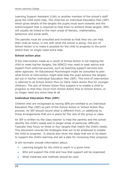Learning Support Assistant (LSA) or another member of the school's staff gives the child extra help. The child has an Individual Education Plan (IEP) which gives details of the targets the pupils must work towards and the action/support that is required to help them to achieve those targets. IEPs will usually be linked to the main areas of literacy, mathematics, behaviour and social skills.

The parents must be consulted and involved so that they too can help their child at home, in line with what the school is doing. The aim of School Action is to make it possible for the child to progress to the point where they no longer need extra help.

# **School action plus**

If the intervention made as a result of School Action is not helping the child to meet his/her targets, the SENCO may need to seek advice and support from external sources, such as teaching support services and other agencies. An Educational Psychologist might be consulted to plan what forms of intervention might best help the pupil achieve the targets set out in his/her Individual Education Plan (IEP). This kind of intervention is referred to as School Action Plus (or Early Years Action Plus for younger children). The aim of School Action Plus support is to enable a child to progress so that they move from School Action Plus to School Action, or no longer need any extra help at all.

# **Individual Education Plan (IEP)**

Children who are recognised as having SEN are entitled to an Individual Education Plan (IEP) as part of the School Action or School Action Plus process. An IEP should record what is different from, or additional to, those arrangements that are in place for the rest of the group or class.

An IEP is written by the class teacher to help the parents and the school identify the child's needs and to target areas of particular difficulty. Typically they focus on three or four targets that match the child's needs. This document records the strategies that are to be employed to enable the child to progress. It should also show the steps that are to be taken to support the child's learning and set a date for reviewing their progress.

It will normally include information about:

- Learning targets for the child to reach in a given time
- Who will support the child and how that support will be organised
- What materials and methods should be used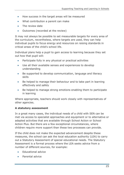- How success in the target areas will be measured
- What contribution a parent can make
- The review date
- Outcomes (recorded at the review)

It may not always be possible to set measurable targets for every area of the curriculum, nevertheless, where targets are used, they can help individual pupils to focus energy and resources on raising standards in critical areas of the child's school life.

Individual plans help a pupil to gain access to learning because they set out how that pupil will:

- Participate fully in any physical or practical activities
- Use all their available senses and experiences to develop understanding
- Be supported to develop communication, language and literacy skills
- Be helped to manage their behaviour and to take part in learning effectively and safely
- Be helped to manage strong emotions enabling them to participate in learning

Where appropriate, teachers should work closely with representatives of other agencies.

#### **A statutory assessment**

In a great many cases, the individual needs of a child with SEN can be met via access to specialist approaches and equipment or to alternative or adapted activities that are available through School Action or School Action Plus. But there are a few exceptional circumstances, where children require more support than these two processes can provide.

If the child does not make the expected advancement despite these measures, the school can ask the local education authority (LEA) to carry out a Statutory Assessment of special educational needs. The Statutory Assessment is a formal process where the LEA seeks advice from a number of different sources, for example:

- Educational advice
- Parental advice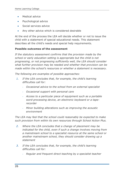- Medical advice
- Psychological advice
- Social services advice
- Any other advice which is considered desirable

At the end of the process the LEA will decide whether or not to issue the child with a statement of special educational needs. This statement describes all the child's needs and special help requirements.

#### **Possible outcomes of the assessment**

*If the statutory assessment confirms that the provision made by the school or early education setting is appropriate but the child is not progressing, or not progressing sufficiently well, the LEA should consider what further provision may be needed and whether that provision can be made within the school's resources or whether a statement is necessary.*

*The following are examples of possible approaches:*

- *1. If the LEA concludes that, for example, the child's learning difficulties call for:*
	- *Occasional advice to the school from an external specialist*
	- *Occasional support with personal care*
	- *Access to a particular piece of equipment such as a portable word-processing device, an electronic keyboard or a taperecorder*
	- *Minor building alterations such as improving the acoustic environment*

*The LEA may feel that the school could reasonably be expected to make such provision from within its own resources through School Action Plus.* 

- *2. Where the LEA concludes that a change of placement may be indicated for the child, even if such a change involves moving from a mainstream school to a specialist resource at the same school or another mainstream school, they should consider drawing up a statement*
- *3. If the LEA concludes that, for example, the child's learning difficulties call for:*
	- *Regular and frequent direct teaching by a specialist teacher*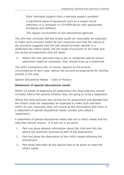- *Daily individual support from a learning support assistant*
- *A significant piece of equipment such as a closed circuit television or a computer or CD-ROM device with appropriate ancillaries and software*
- *The regular involvement of non-educational agencies*

*The LEA may conclude that the school could not reasonably be expected to make such provision within its own resources and that the nature of the provision suggests that the LEA should formally identify in a statement the child's needs, the full range of provision to be made and the review arrangements that will apply.* 

*4. Where the LEA concludes that a day or residential special school placement might be necessary, they should draw up a statement*

*The LEA's conclusions will, of course, depend on the precise circumstances of each case, taking into account arrangements for funding schools in the area.*

*Special Educational Needs – Code of Practice*

#### **Statement of special educational needs**

Within 12 weeks of beginning an assessment the local authority should normally inform the parents whether they are going to write a statement.

Where the local authority has carried out an assessment and decided that the school could not reasonably be expected to make such provision within its own resources, they will record all the information they have in a statement of special educational needs (usually just called a 'statement').

A statement of special educational needs sets out a child's needs and the help they should receive. It is set out in six parts:

- 1. Part one gives general information about the child and lists the advice the authority received as part of the assessment
- 2. Part two gives the description of the child's needs following the assessment
- 3. Part three describes all the special help to be given to meet the child's needs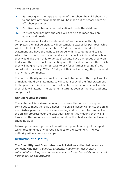- 4. Part four gives the type and name of the school the child should go to and how any arrangements will be made out of school hours or off school premises
- 5. Part five describes any non-educational needs the child has
- 6. Part six describes how the child will get help to meet any noneducational needs

The parents are sent a draft statement before the local authority completes the final version. It will be complete except for part four, which will be left blank. Parents then have 15 days to review the draft statement and have the right to disagree with its contents and to say which state school, non-maintained special school or independent school, they would like their child to go to. If parents have any issues they wish to discuss they can ask for a meeting with the local authority, after which they will be given another 15 days to ask for a further meeting if they consider it necessary. Within 15 days of their last meeting, they can send in any more comments.

The local authority must complete the final statement within eight weeks of making the draft statement. It will send a copy of the final statement to the parents, this time part four will state the name of a school which their child will attend. The statement starts as soon as the local authority completes it.

#### **Annual review meeting**

The statement is reviewed annually to ensure that any extra support continues to meet the child's needs. The child's school will invite the child and his/her parents to the review meeting and ask them to comment on the child's progress over the past year. During this meeting they will all look at written reports and consider whether the child's statement needs changing at all.

Following the meeting, the school will send parents a copy of its report which recommends any agreed changes to the statement. The local authority will also receive a copy.

# Definition of disability

The **Disability and Discrimination Act** defines a disabled person as someone who has *"a physical or mental impairment which has a substantial and long-term adverse effect on his or her ability to carry out normal day-to-day activities."*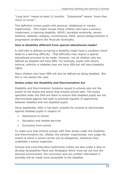*"Long term" means at least 12 months. "Substantial" means "more than minor or trivial."*

This definition covers pupils with physical, intellectual or mental impairments. This might include those children who have a sensory impairment, a learning disability, ADHD, tourettes syndrome, severe dyslexia, diabetes, epilepsy, incontinence, AIDS, severe disfigurements or progressive conditions like Muscular Dystrophy.

# **How is disability different from special educational needs?**

A child who is defined as having a disability might have a condition which leads to a learning difficulty. That difficultly may require a special educational provision to be made. However, not all children who are defined as disabled will have SEN. For example, pupils with severe asthma, arthritis or diabetes may not have SEN but will have disability rights.

Many children who have SEN will also be defined as being disabled. But this is not always the case.

# **Duties under the Disability and Discrimination Act**

Disability and Discrimination Guidance issued to schools sets out the extent of the duties and action that schools should take. The duties specified under the DDA are there to ensure that disabled pupils are not discriminated against and seek to promote equality of opportunity between disabled and non-disabled pupils.

Since September 2002 it has been unlawful for schools to discriminate against disabled pupils in respect of:

- Admissions to school
- Education and related services
- Exclusions from school

To make sure that schools comply with their duties under the Disability and Discrimination Act, Ofsted, the schools' inspectorate, now judge the extent to which a school carries out its obligations, whenever they undertake a school inspection.

Schools and Local Education Authorities (LEAs) are also under a duty to develop Accessibility Plans and Strategies which must set out how the physical environment, the curriculum and any written information it provides will be made more accessible to the disabled.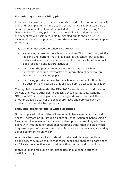#### **Formulating an accessibility plan**

Each school's governing body is responsible for developing an accessibility plan and for implementing the actions set out in it. The plan could be a separate document or it could be included in the school's existing Special Needs Policy. The key points of the Accessibility Plan that explain how the school makes itself accessible to disabled pupils should also be included in the school prospectus and the governing body's Annual Report to Parents.

This plan must describe the school's strategies for:

- Maximising access to the school curriculum. This covers not just the teaching and learning that takes place in the school, but also the wider curriculum such as participation in school visits, after school clubs, or sports and leisure activities
- Improving the presentation of written information such as timetables handouts, textbooks and information sheets that are handed out to disabled pupils
- Improving physical access to the school environment this also includes any physical aids that assist a pupil's access to education

The regulations made under the DDA 2005 also place specific duties on schools and local authorities to publish a Disability Equality Scheme (DES). A DES is a set of plans and strategies designed to meet the needs of other disabled users of the school premises and services such as disabled staff and disabled parents.

#### **Individual plans for pupils with disabilities**

Not all pupils with disabilities will necessarily have special educational needs. Therefore an IEP issued as part of School Action or School Action Plus is not always necessary. Many disabled pupils learn alongside their peers with little need for additional resources other than the aids which they use as part of their normal daily life, such as a wheelchair, a hearing aid or equipment to aid vision.

When teachers are required to develop individual plans for pupils with disabilities, they must ensure that these pupils are enabled to participate as fully and as effectively as possible within the national curriculum.

Individual plans for pupils with disabilities should enable effective participation by: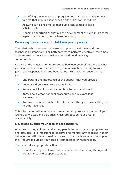- Identifying those aspects of programmes of study and attainment targets that may present specific difficulties for individuals
- Allowing sufficient time so that pupils can complete tasks satisfactorily
- Planning opportunities that aid the development of skills in practical aspects of the curriculum where necessary

# Referring concerns about children/young people

The relationship between the learning support practitioner and the teacher is all-important. For both parties' to perform effectively there has to be mutual respect and consideration and good two-way communication.

As part of the ongoing communications between yourself and the teacher, you should make sure that you are given information relating to your job's role, responsibilities and boundaries. This includes ensuring that you:

- Understand the importance of the support that you provide
- Understand your own role and its limits
- Know about local resources and how to access information
- Know about organisational procedures and relevant legal frameworks
- Are aware of appropriate referral routes within your own setting and to other agencies

This information will enable you to react in an appropriate manner if you identify any situations that arise which are outside your area of responsibility.

# **Situations outside your area of responsibility**

When supporting children and young people to participate in programmes and activities, it is important to observe and monitor any changes in their behaviour or attitude and seek extra support and advice when the support they require is outside your area of competence or responsibility.

You must take appropriate action:

 To address any problems that arise when implementing the agreed programmes and support activities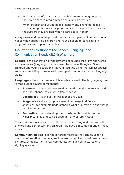- When you identify any changes in children and young people as they participate in programmes and support activities
- When children and young people identify any changing needs, wishes and preferences for programmes and support activities and the support they are receiving to participate in them

Always seek additional help to address your own personal and emotional needs when supporting children and young people to participate in programmes and support activities.

# Interventions to support the Speech, Language and Communication Needs (SLCN) of children

**Speech** is the generation of the patterns of sounds that form the words and sentences (language) that are used to express thoughts. Some children and young people may have difficulties using the correct speech sounds even if they possess well developed communication and language skills.

**Language** is the structure in which words are used. The language system is made up of several components:

- **Grammar** how words are amalgamated to make sentences, and how they change to convey different tenses
- **Vocabulary** is the set of words that are used
- **Pragmatics** the appropriate use of language in different situations, for example understanding what a question is and that it requires an answer
- **Semantics** understanding that words can have different and wider meanings and can be used in many different ways

These skills are necessary for both the understanding and the production of words and sentences, and children may have difficulties in any of these areas.

**Communication** describes the different methods that can be used to pass on information to others, such as words (spoken or written), sounds, pictures, symbols, non-verbal communication such as gestures or a signing system.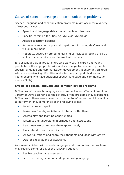# Causes of speech, language and communication problems

Speech, language and communication problems might occur for a variety of reasons including:

- Speech and language delay, impairments or disorders
- Specific learning difficulties e.g. dyslexia, dyspraxia
- Autistic spectrum disorder
- Permanent sensory or physical impairment including deafness and visual impairment
- Moderate, severe or profound learning difficulties affecting a child's ability to communicate and interact with others

It is essential that all practitioners who work with children and young people have the appropriate skills and knowledge to be able to promote speech, language and communication development, identify any children who are experiencing difficulties and effectively support children and young people who have additional speech, language and communication needs (SLCN).

# **Effects of speech, language and communication problems**

Difficulties with speech, language and communication affect children in a variety of ways according to the severity of the problems they experience. Difficulties in these areas have the potential to influence the child's ability to perform in one, some or all of the following areas:

- Read, write and spell
- Make new friends, socialise and interact with others
- Access play and learning opportunities
- Listen to and understand information and instructions
- Learn new words and use them appropriately
- Understand concepts and ideas
- Answer questions and share their thoughts and ideas with others
- Ask for explanations or assistance

As a result children with speech, language and communication problems may require some, or all, of the following support:

- Flexible teaching arrangements
- Help in acquiring, comprehending and using language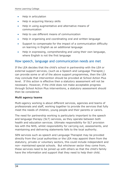- Help in articulation
- Help in acquiring literacy skills
- Help in using augmentative and alternative means of communication
- Help to use different means of communication
- Help in organising and coordinating oral and written language
- Support to compensate for the impact of a communication difficulty on learning in English as an additional language
- Help in expressing, comprehending and using their own language, where English is not the first language

# How speech, language and communication needs are met

If the LEA decides that the child's school in partnership with the LEA or external support services, (such as a Speech and Language Therapist,) can provide some or all of the above support programmes, then the LEA may conclude that intervention should be provided at School Action Plus level. If this action is effective then a statutory assessment will not be necessary. However, if the child does not make acceptable progress through School Action Plus interventions, a statutory assessment should then be considered.

#### **Multi agency teams**

Multi-agency working is about different services, agencies and teams of professionals and staff, working together to provide the services that fully meet the needs of children, young people and their parents or carers.

The need for partnership working is particularly important to the speech and language therapy (SLT) services, as they operate between both health and education services. Ultimate responsibility for SLT provision lies with the NHS, whilst responsibility for carrying out, assessments, and maintaining and delivering statements falls to the local authority.

SEN services such as speech and Language Therapist may be provided directly from the Local authorities or the LEA may appoint them from the statutory, private or voluntary sectors, this could include independent and non- maintained special schools. But whichever sector they come from, these services need to be joined up with others so that the child's family have the information and support that they need to help their child.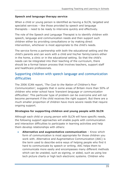# **Speech and language therapy service**

When a child or young person is identified as having a SLCN, targeted and specialist services – like those provided by speech and language therapists – need to be ready to intervene quickly and effectively.

The role of the Speech and Language Therapist is to identify children with speech, language and communication needs and then support such children either by providing consultations or by making direct intervention, whichever is most appropriate to the child's needs.

The service forms a partnership with both the educational setting and the child's parents and can work with a child and his/her family/carers either in the home, a clinic or in the educational setting. So that the child's needs can be integrated into their teaching of the curriculum, there should be a formal liaison process that involves teachers, support staff and healthcare professionals.

# Supporting children with speech language and communication difficulties

The 2006 ICAN report, *'The Cost to the Nation of Children's Poor Communication',* suggests that in some areas of Britain more than 50% of children who enter school have *'transient language or communication difficulties'*. This particular type of problem can be overcome and will not become permanent if the child receives the right support. But there are a much smaller proportion of children have more severe needs that require ongoing support.

#### **Strategies for supporting children and young people with SLCN**

Although each child or young person with SLCN will have specific needs, the following support approaches will enable pupils with communication and interaction difficulties to participate in learning activities and help them develop relationships with others:

 **Alternative and augmentative communication** – Know which form of communication is most appropriate for those children you work with. Alternative and Augmentative Communication (AAC) is the term used to describe extra ways of helping people who find it hard to communicate by speech or writing. AAC helps them to communicate more easily and encompasses many different methods which can be unaided, such as signing, or aided, such as using low tech picture charts or high tech electronic systems. Children who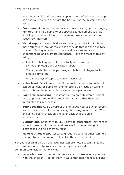need to use AAC and those who support them often need the help of a specialist to help them get the best out of the system they are using

- **Environment** Adapt the room where necessary (e.g. rearranging furniture) and help pupils to use specialised equipment such as audiological and amplification equipment, low-vision devices or speech synthesisers
- **Visual support.** Many children and young people with SCLN learn more effectively through vision than they do through the auditory channel. Making activities concrete and real can enhance understanding and promote confidence. Make the most of this by using:
	- Labels label equipment and activity areas with pictures, symbols, photographs or written labels
	- Visual timetables use pictures, symbols or photographs to create a time-line
	- Visual displays of topics or current activities
- **Noise level.** Bear in mind that if the environment is too noisy, it can be difficult for pupils to listen effectively or focus on tasks in hand; this can be a particular issue in open-plan areas
- **Cognitive processing.** It is important to give children sufficient time to process and understand information so that they can formulate their responses
- **Your vocabulary.** Be aware of the language you use when issuing instructions. Keep information clear, chronological and brief. When explaining points check on a regular basis that the child understands
- **Distractions.** Children with SLCN have to concentrate very hard in order to take in information and process it, so minimising of distractions will help them to focus
- **Make routines clear.** Rehearsing routines several times can help children to become more confident in the environment

For younger children play and activities can promote speech, language and communication. Approaches that help younger children to communicate include the following:

 Know which words the teacher wants you to introduce or practice with the children. Talk to them in ways that help them to expand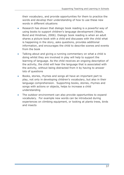their vocabulary, and provide opportunities for them to practice the words and develop their understanding of how to use these new words in different situations

- Research has shown that dialogic book reading is a powerful way of using books to support children's language development (Wasik, Bond and Hindman, 2006). Dialogic book reading is when an adult shares a picture book with a child and discusses with the child what is happening in the story, asks questions, provides additional information, and encourages the child to describe scenes and events from the book
- Talking about and giving a running commentary on what a child is doing whilst they are involved in play will help to support the learning of language. As the child receives an ongoing description of the activity, the child will hear the language that is associated with the activity, without being distracted from it by having to answer lots of questions
- Books, stories, rhymes and songs all have an important part to play, not only in developing children's vocabulary, but also in their language comprehension. Supporting books, stories, rhymes and songs with actions or objects, helps to increase a child understanding
- The outdoor environment can also provide opportunities to expand vocabulary. For example new words can be introduced during experiences on climbing equipment, or looking at plants trees, birds and insects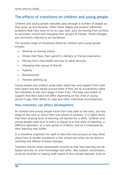# The effects of transitions on children and young people

Children and young people naturally pass through a number of stages as they grow up and develop. Often these stages will present unfamiliar problems that they have to try to cope with, such as moving from primary to secondary school and changing their groups of friends. These changes are commonly referred to as transitions.

The diverse range of transitions faced by children and young people include:

- Starting or moving school
- Illness that they, their parent's, sibling's or friends experience
- Moving from child health services to adult services
- Changing their group of friends
- Puberty
- Bereavement
- Parents splitting up

Young people and children quite often need help and support from both their peers and the adults around them if they are to successfully make the transition to the next stage in their lives. The type and extent of support that they need will differ depending on the child or young person's age, their ability to cope and other individual circumstances.

# How transition can affect development

As children and young people move from one class to the next, one key stage to the next or move from one school to another, it is highly likely that their existing level of learning will decline for a while. Children and young people need time to learn to adjust to a new style of teaching, a different approach, or a new group of children, and as a consequence, their learning may suffer.

It is therefore important for staff to take this into account as they think about how to handle transitions in the school and what can be done to minimise the effects of these changes.

Teachers should share assessment records so that new learning can be based securely on prior knowledge and skills. Also subject coordinators could be involved in making staff aware of the overlap between work at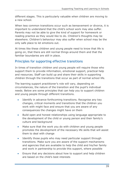different stages. This is particularly valuable when children are moving to a new school.

When less common transitions occur such as bereavement or divorce, it is important to understand that the child's school work may also suffer. Parents may not be able to give the kind of support for homework or reading practice as they would like to do. Children's thoughts may be elsewhere. Children's behaviour may also suffer when school may be the only safe place to let emotions out.

At times like these children and young people need to know that life is going on, that there are still normal things around them and that the familiar boundaries are still in place.

# Principles for supporting effective transitions

In times of transition children and young people will require those who support them to provide information, emotional support, practical help and resources. Staff can build up and share their skills in supporting children through the transitions that occur as part of normal school life.

The learning support practitioner's role will vary, depending on circumstances, the nature of the transition and the pupil's individual needs. Below are some principles that can help you to support children and young people through different transitions.

- Identify in advance forthcoming transitions. Recognise any key changes, critical moments and transitions that the children you work with might face and ensure that you are aware of any consequences the changes might have on them
- Build open and honest relationships using language appropriate to the development of the child or young person and their family's culture and background
- Make sure that the work you do with children and young people promotes the development of the necessary life skills that will assist them to deal with change
- Identify those pupils who may need particular support through transitions. Make sure you are aware of the support mechanisms and agencies that are available to help the child and his/her family and work in partnership to provide this support, where possible
- Ensure that any decisions about how to support and help children are based on the child's best interests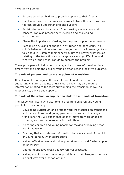- Encourage other children to provide support to their friends
- Involve and support parents and carers in transition work so they too can provide understanding and support
- Explain that transitions, apart from causing anxiousness and concern, can also present new, exciting and challenging opportunities
- Stress the importance of asking for help and support when needed
- Recognise any signs of change in attitudes and behaviour. If a child's behaviour does alter, encourage them to acknowledge it and talk about it. Listen to their concerns. Try to discover what issues relating to the transition and change are causing difficulties and what you or the school can do to address the problem

These principles will help you to manage the process of transition in a timely way and help the child or young person reach a positive outcome.

#### **The role of parents and carers at points of transition**

It is also vital to recognise the role of parents and their carers in supporting children at points of transition. They may also require information relating to the facts surrounding the transition as well as reassurance, advice and support.

#### **The role of the school in supporting children at points of transition**

The school can also play a vital role in preparing children and young people for transitions by:

- Developing curriculum and project work that focuses on transitions and helps children and young people to understand the range of transitions they will experience as they move from childhood to puberty, and from adolescence into adulthood
- Preparing children and young people for moving or leaving school well in advance
- Ensuring that any relevant information transfers ahead of the child or young person, when appropriate
- Making effective links with other practitioners should further support be necessary
- Operating effective cross-agency referral processes
- Making conditions as similar as possible, so that changes occur in a gradual way over a period of time